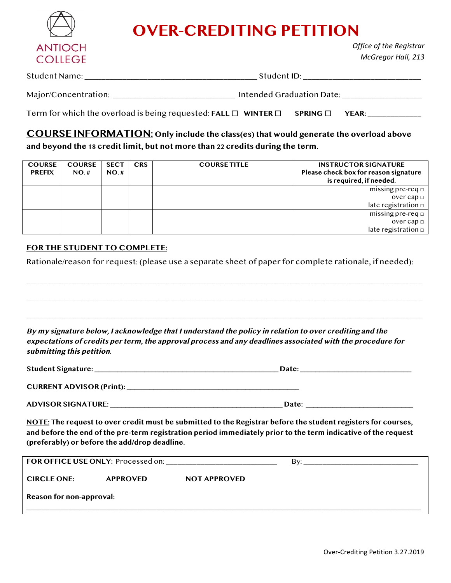

## **OVER-CREDITING PETITION**

*Office of the Registrar McGregor Hall, 213*

| Student Name:        | Student ID:               |  |
|----------------------|---------------------------|--|
|                      |                           |  |
| Major/Concentration: | Intended Graduation Date: |  |

| Term for which the overload is being requested: FALL $\Box$ WINTER $\Box$ SPRING $\Box$ YEAR: |  |  |  |
|-----------------------------------------------------------------------------------------------|--|--|--|
|-----------------------------------------------------------------------------------------------|--|--|--|

**COURSE INFORMATION: Only include the class(es) that would generate the overload above and beyond the 18 credit limit, but not more than 22 credits during the term.** 

| <b>COURSE</b><br><b>PREFIX</b> | <b>COURSE</b><br>NO.H | <b>SECT</b><br>NO.H | <b>CRS</b> | <b>COURSE TITLE</b> | <b>INSTRUCTOR SIGNATURE</b><br>Please check box for reason signature<br>is required, if needed. |
|--------------------------------|-----------------------|---------------------|------------|---------------------|-------------------------------------------------------------------------------------------------|
|                                |                       |                     |            |                     | missing pre-req $\Box$                                                                          |
|                                |                       |                     |            |                     | over cap $\Box$                                                                                 |
|                                |                       |                     |            |                     | late registration $\Box$                                                                        |
|                                |                       |                     |            |                     | $missing pre-req \Box$                                                                          |
|                                |                       |                     |            |                     | over cap $\Box$                                                                                 |
|                                |                       |                     |            |                     | late registration $\Box$                                                                        |

## **FOR THE STUDENT TO COMPLETE:**

Rationale/reason for request: (please use a separate sheet of paper for complete rationale, if needed):

\_\_\_\_\_\_\_\_\_\_\_\_\_\_\_\_\_\_\_\_\_\_\_\_\_\_\_\_\_\_\_\_\_\_\_\_\_\_\_\_\_\_\_\_\_\_\_\_\_\_\_\_\_\_\_\_\_\_\_\_\_\_\_\_\_\_\_\_\_\_\_\_\_\_\_\_\_\_\_\_\_\_\_\_\_\_\_\_\_\_\_\_\_\_

\_\_\_\_\_\_\_\_\_\_\_\_\_\_\_\_\_\_\_\_\_\_\_\_\_\_\_\_\_\_\_\_\_\_\_\_\_\_\_\_\_\_\_\_\_\_\_\_\_\_\_\_\_\_\_\_\_\_\_\_\_\_\_\_\_\_\_\_\_\_\_\_\_\_\_\_\_\_\_\_\_\_\_\_\_\_\_\_\_\_\_\_\_\_

\_\_\_\_\_\_\_\_\_\_\_\_\_\_\_\_\_\_\_\_\_\_\_\_\_\_\_\_\_\_\_\_\_\_\_\_\_\_\_\_\_\_\_\_\_\_\_\_\_\_\_\_\_\_\_\_\_\_\_\_\_\_\_\_\_\_\_\_\_\_\_\_\_\_\_\_\_\_\_\_\_\_\_\_\_\_\_\_\_\_\_\_\_\_

**By my signature below, I acknowledge that I understand the policy in relation to over crediting and the expectations of credits per term, the approval process and any deadlines associated with the procedure for submitting this petition.**

| Student Signature:              | Date: |  |
|---------------------------------|-------|--|
| <b>CURRENT ADVISOR (Print):</b> |       |  |

**ADVISOR SIGNATURE: \_\_\_\_\_\_\_\_\_\_\_\_\_\_\_\_\_\_\_\_\_\_\_\_\_\_\_\_\_\_\_\_\_\_\_\_\_\_\_\_\_\_\_\_\_ Date: \_\_\_\_\_\_\_\_\_\_\_\_\_\_\_\_\_\_\_\_\_\_\_\_\_\_\_\_**

**NOTE: The request to over credit must be submitted to the Registrar before the student registers for courses, and before the end of the pre-term registration period immediately prior to the term indicative of the request (preferably) or before the add/drop deadline.**

| FOR OFFICE USE ONLY: Processed on: |                 |                     | Bv: |  |  |  |
|------------------------------------|-----------------|---------------------|-----|--|--|--|
| <b>CIRCLE ONE:</b>                 | <b>APPROVED</b> | <b>NOT APPROVED</b> |     |  |  |  |
| Reason for non-approval:           |                 |                     |     |  |  |  |
|                                    |                 |                     |     |  |  |  |